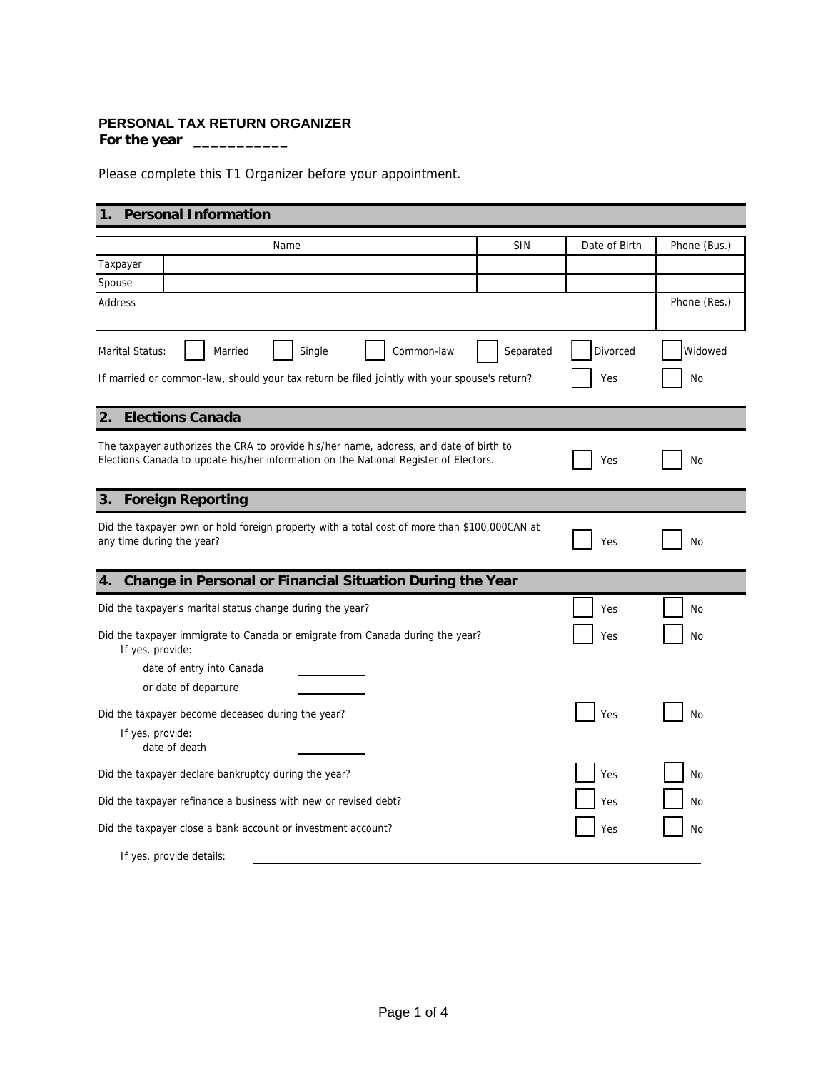## **PERSONAL TAX RETURN ORGANIZER**

**For the year \_\_\_\_\_\_\_\_\_\_\_**

Please complete this T1 Organizer before your appointment.

## **1. Personal Information**

| Name                                                                                                                                                                           | SIN       | Date of Birth | Phone (Bus.) |  |  |
|--------------------------------------------------------------------------------------------------------------------------------------------------------------------------------|-----------|---------------|--------------|--|--|
| Taxpayer                                                                                                                                                                       |           |               |              |  |  |
| Spouse                                                                                                                                                                         |           |               |              |  |  |
| Address                                                                                                                                                                        |           |               | Phone (Res.) |  |  |
| Marital Status:<br>Married<br>Single<br>Common-law                                                                                                                             | Separated | Divorced      | Widowed      |  |  |
| If married or common-law, should your tax return be filed jointly with your spouse's return?                                                                                   | Yes       | No            |              |  |  |
| <b>Elections Canada</b><br>2.                                                                                                                                                  |           |               |              |  |  |
| The taxpayer authorizes the CRA to provide his/her name, address, and date of birth to<br>Elections Canada to update his/her information on the National Register of Electors. |           | Yes           | No           |  |  |
| <b>Foreign Reporting</b><br>3.                                                                                                                                                 |           |               |              |  |  |
| Did the taxpayer own or hold foreign property with a total cost of more than \$100,000CAN at<br>any time during the year?                                                      |           | Yes           | No           |  |  |
| Change in Personal or Financial Situation During the Year<br>4.                                                                                                                |           |               |              |  |  |
| Did the taxpayer's marital status change during the year?                                                                                                                      |           | Yes           | No           |  |  |
| Did the taxpayer immigrate to Canada or emigrate from Canada during the year?<br>If yes, provide:                                                                              |           | Yes           | No           |  |  |
| date of entry into Canada                                                                                                                                                      |           |               |              |  |  |
| or date of departure                                                                                                                                                           |           |               |              |  |  |
| Did the taxpayer become deceased during the year?                                                                                                                              |           | Yes           | No           |  |  |
| If yes, provide:<br>date of death                                                                                                                                              |           |               |              |  |  |
| Did the taxpayer declare bankruptcy during the year?                                                                                                                           |           | Yes           | No           |  |  |
| Did the taxpayer refinance a business with new or revised debt?                                                                                                                |           | Yes           | No           |  |  |
| Did the taxpayer close a bank account or investment account?                                                                                                                   | Yes       | No            |              |  |  |
| If yes, provide details:                                                                                                                                                       |           |               |              |  |  |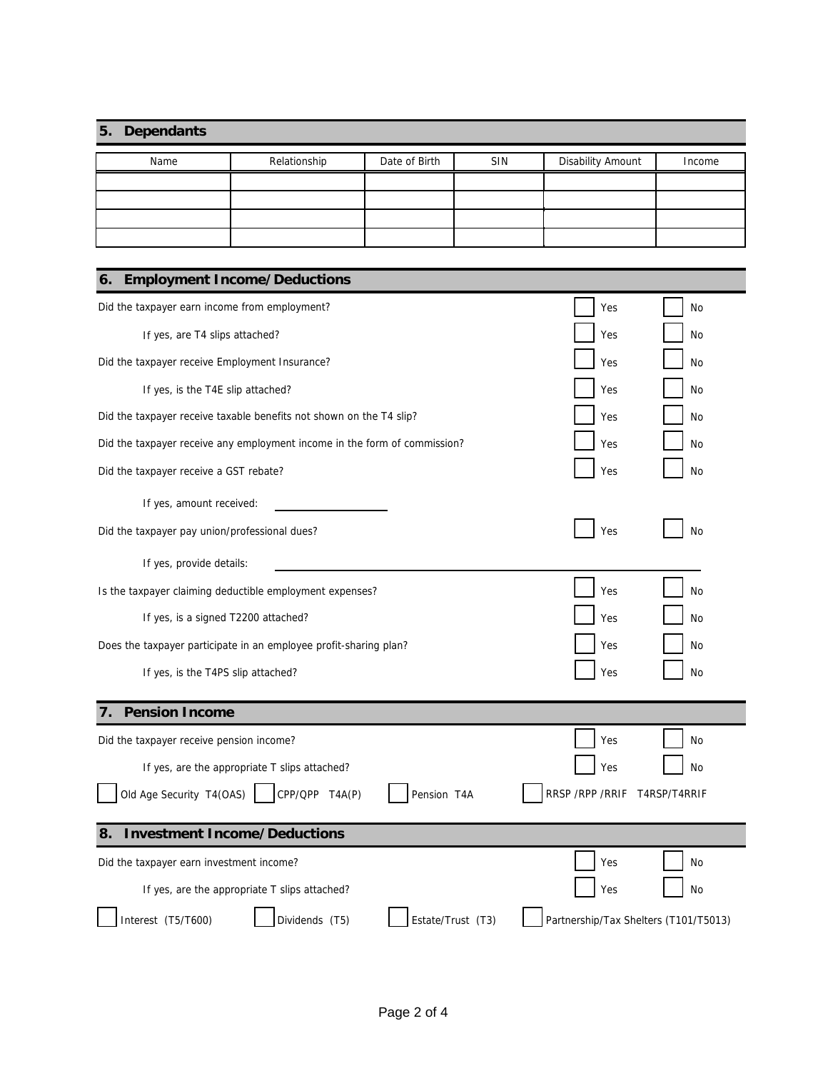## **5. Dependants**

| Name | Relationship | Date of Birth | <b>SIN</b> | <b>Disability Amount</b> | Income |
|------|--------------|---------------|------------|--------------------------|--------|
|      |              |               |            |                          |        |
|      |              |               |            |                          |        |
|      |              |               |            |                          |        |
|      |              |               |            |                          |        |

| <b>Employment Income/Deductions</b><br>6.                                 |                                       |
|---------------------------------------------------------------------------|---------------------------------------|
| Did the taxpayer earn income from employment?                             | Yes<br>No                             |
| If yes, are T4 slips attached?                                            | Yes<br>No                             |
| Did the taxpayer receive Employment Insurance?                            | Yes<br>No                             |
| If yes, is the T4E slip attached?                                         | Yes<br>No                             |
| Did the taxpayer receive taxable benefits not shown on the T4 slip?       | Yes<br>No                             |
| Did the taxpayer receive any employment income in the form of commission? | Yes<br>No                             |
| Did the taxpayer receive a GST rebate?                                    | Yes<br>No                             |
| If yes, amount received:                                                  |                                       |
| Did the taxpayer pay union/professional dues?                             | Yes<br><b>No</b>                      |
| If yes, provide details:                                                  |                                       |
| Is the taxpayer claiming deductible employment expenses?                  | Yes<br>No                             |
| If yes, is a signed T2200 attached?                                       | Yes<br>No                             |
| Does the taxpayer participate in an employee profit-sharing plan?         | Yes<br>No                             |
| If yes, is the T4PS slip attached?                                        | Yes<br>No                             |
| <b>Pension Income</b><br>7.                                               |                                       |
| Did the taxpayer receive pension income?                                  | Yes<br>No                             |
| If yes, are the appropriate T slips attached?                             | Yes<br>No                             |
| Old Age Security T4(OAS)<br>CPP/QPP T4A(P)<br>Pension T4A                 | RRSP / RPP / RRIF<br>T4RSP/T4RRIF     |
| <b>Investment Income/Deductions</b><br>8.                                 |                                       |
| Did the taxpayer earn investment income?                                  | Yes<br>No                             |
| If yes, are the appropriate T slips attached?                             | Yes<br>No                             |
| Interest (T5/T600)<br>Dividends (T5)<br>Estate/Trust (T3)                 | Partnership/Tax Shelters (T101/T5013) |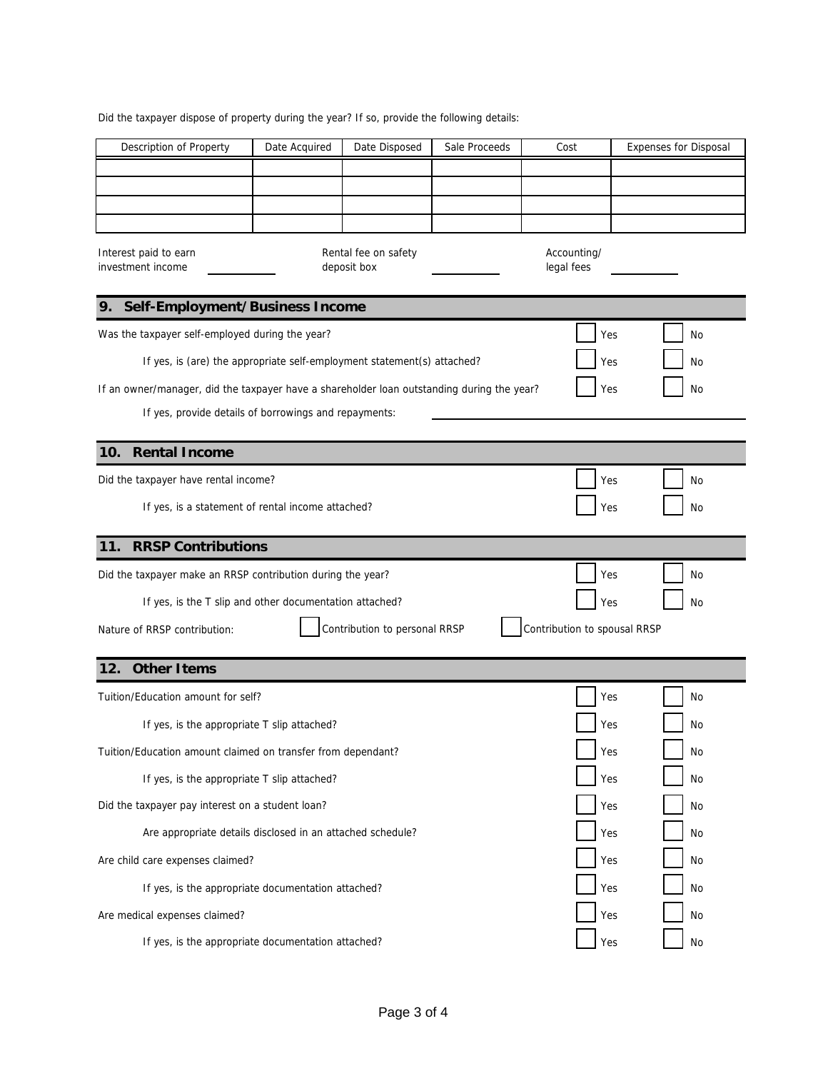Did the taxpayer dispose of property during the year? If so, provide the following details:

| Description of Property                                                                    | Date Acquired | Date Disposed                       | Sale Proceeds | Cost                         | <b>Expenses for Disposal</b> |
|--------------------------------------------------------------------------------------------|---------------|-------------------------------------|---------------|------------------------------|------------------------------|
|                                                                                            |               |                                     |               |                              |                              |
|                                                                                            |               |                                     |               |                              |                              |
|                                                                                            |               |                                     |               |                              |                              |
| Interest paid to earn<br>investment income                                                 |               | Rental fee on safety<br>deposit box |               | Accounting/<br>legal fees    |                              |
| Self-Employment/Business Income<br>9.                                                      |               |                                     |               |                              |                              |
| Was the taxpayer self-employed during the year?                                            |               |                                     |               | Yes                          | No                           |
| If yes, is (are) the appropriate self-employment statement(s) attached?                    |               |                                     |               | Yes                          | No                           |
| If an owner/manager, did the taxpayer have a shareholder loan outstanding during the year? |               |                                     |               | Yes                          | No                           |
| If yes, provide details of borrowings and repayments:                                      |               |                                     |               |                              |                              |
|                                                                                            |               |                                     |               |                              |                              |
| <b>Rental Income</b><br>10.                                                                |               |                                     |               |                              |                              |
| Did the taxpayer have rental income?                                                       |               |                                     |               | Yes                          | No                           |
| If yes, is a statement of rental income attached?                                          |               |                                     |               | Yes                          | No                           |
|                                                                                            |               |                                     |               |                              |                              |
| <b>RRSP Contributions</b><br>11.                                                           |               |                                     |               |                              |                              |
| Did the taxpayer make an RRSP contribution during the year?                                |               |                                     |               | Yes                          | No                           |
| If yes, is the T slip and other documentation attached?                                    |               |                                     |               | Yes                          | No                           |
| Nature of RRSP contribution:                                                               |               | Contribution to personal RRSP       |               | Contribution to spousal RRSP |                              |
| <b>Other Items</b><br>12.                                                                  |               |                                     |               |                              |                              |
| Tuition/Education amount for self?                                                         |               |                                     |               | Yes                          | No                           |
| If yes, is the appropriate T slip attached?                                                |               |                                     |               | Yes                          | No                           |
| Tuition/Education amount claimed on transfer from dependant?                               |               |                                     |               | Yes                          | No                           |
| If yes, is the appropriate T slip attached?                                                |               |                                     |               | Yes                          | No                           |
| Did the taxpayer pay interest on a student loan?                                           |               |                                     |               | Yes                          | No                           |
| Are appropriate details disclosed in an attached schedule?                                 |               |                                     |               | Yes                          | No                           |
| Are child care expenses claimed?                                                           |               |                                     |               | Yes                          | No                           |
|                                                                                            |               |                                     |               |                              |                              |
|                                                                                            |               |                                     |               |                              |                              |
| If yes, is the appropriate documentation attached?<br>Are medical expenses claimed?        |               |                                     |               | Yes<br>Yes                   | No<br>No                     |